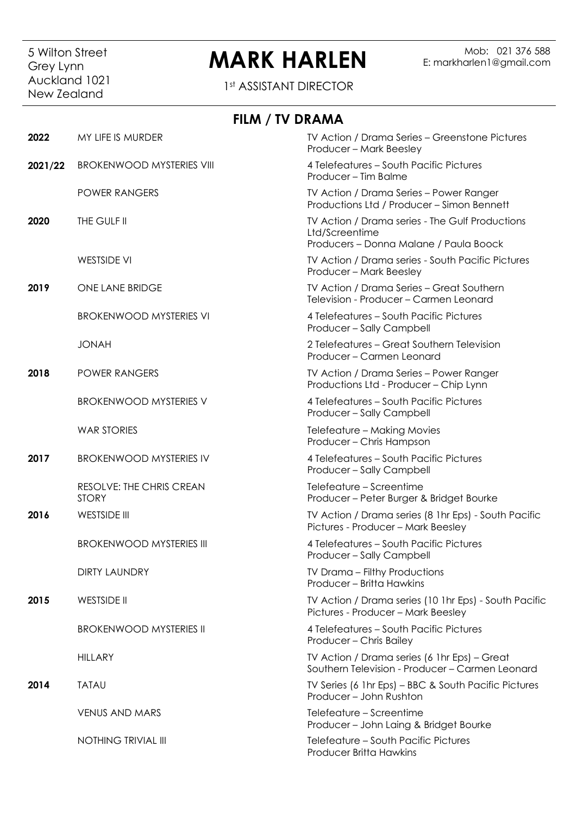## Grey Lynn<br>Auckland 1021 New Zealand

## 5 Wilton Street **MARK HARLEN** Grey Lynn E: markharlen1@gmail.com

1st ASSISTANT DIRECTOR

|         | FILM / TV DRAMA                          |                                                                                                             |
|---------|------------------------------------------|-------------------------------------------------------------------------------------------------------------|
| 2022    | MY LIFE IS MURDER                        | TV Action / Drama Series - Greenstone Pictures<br>Producer - Mark Beesley                                   |
| 2021/22 | <b>BROKENWOOD MYSTERIES VIII</b>         | 4 Telefeatures - South Pacific Pictures<br>Producer - Tim Balme                                             |
|         | <b>POWER RANGERS</b>                     | TV Action / Drama Series - Power Ranger<br>Productions Ltd / Producer - Simon Bennett                       |
| 2020    | THE GULF II                              | TV Action / Drama series - The Gulf Productions<br>Ltd/Screentime<br>Producers - Donna Malane / Paula Boock |
|         | <b>WESTSIDE VI</b>                       | TV Action / Drama series - South Pacific Pictures<br>Producer - Mark Beesley                                |
| 2019    | ONE LANE BRIDGE                          | TV Action / Drama Series - Great Southern<br>Television - Producer - Carmen Leonard                         |
|         | <b>BROKENWOOD MYSTERIES VI</b>           | 4 Telefeatures - South Pacific Pictures<br>Producer - Sally Campbell                                        |
|         | <b>JONAH</b>                             | 2 Telefeatures - Great Southern Television<br>Producer - Carmen Leonard                                     |
| 2018    | <b>POWER RANGERS</b>                     | TV Action / Drama Series - Power Ranger<br>Productions Ltd - Producer - Chip Lynn                           |
|         | <b>BROKENWOOD MYSTERIES V</b>            | 4 Telefeatures - South Pacific Pictures<br>Producer - Sally Campbell                                        |
|         | <b>WAR STORIES</b>                       | Telefeature - Making Movies<br>Producer - Chris Hampson                                                     |
| 2017    | <b>BROKENWOOD MYSTERIES IV</b>           | 4 Telefeatures - South Pacific Pictures<br>Producer - Sally Campbell                                        |
|         | RESOLVE: THE CHRIS CREAN<br><b>STORY</b> | Telefeature – Screentime<br>Producer - Peter Burger & Bridget Bourke                                        |
| 2016    | <b>WESTSIDE III</b>                      | TV Action / Drama series (8 1hr Eps) - South Pacific<br>Pictures - Producer - Mark Beesley                  |
|         | <b>BROKENWOOD MYSTERIES III</b>          | 4 Telefeatures - South Pacific Pictures<br>Producer - Sally Campbell                                        |
|         | DIRTY LAUNDRY                            | <b>TV Drama - Filthy Productions</b><br>Producer - Britta Hawkins                                           |
| 2015    | WESTSIDE II                              | TV Action / Drama series (10 1hr Eps) - South Pacific<br>Pictures - Producer - Mark Beesley                 |
|         | <b>BROKENWOOD MYSTERIES II</b>           | 4 Telefeatures - South Pacific Pictures<br>Producer - Chris Bailey                                          |
|         | <b>HILLARY</b>                           | TV Action / Drama series (6 1hr Eps) - Great<br>Southern Television - Producer - Carmen Leonard             |
| 2014    | <b>TATAU</b>                             | TV Series (6 1hr Eps) - BBC & South Pacific Pictures<br>Producer - John Rushton                             |
|         | <b>VENUS AND MARS</b>                    | Telefeature – Screentime<br>Producer - John Laing & Bridget Bourke                                          |
|         | NOTHING TRIVIAL III                      | Telefeature - South Pacific Pictures<br><b>Producer Britta Hawkins</b>                                      |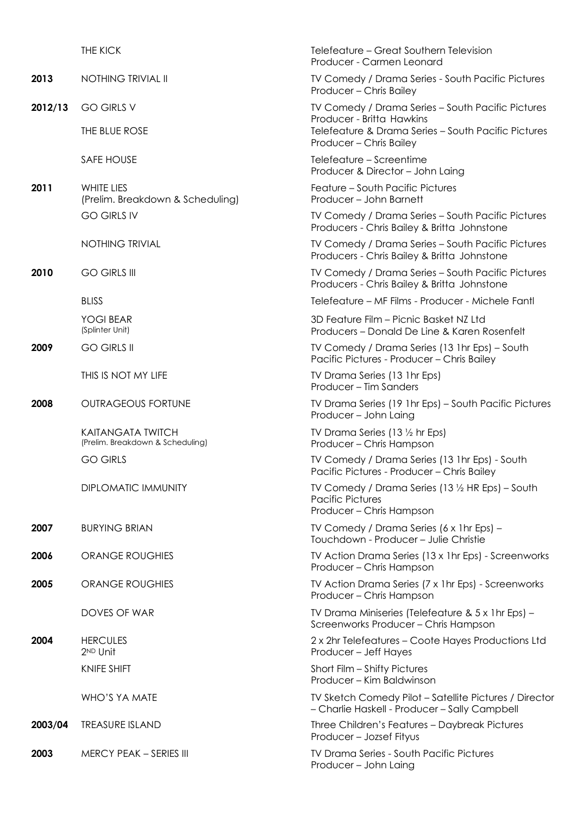|         | THE KICK                                                     | Telefeature – Great Southern Television<br>Producer - Carmen Leonard                                        |
|---------|--------------------------------------------------------------|-------------------------------------------------------------------------------------------------------------|
| 2013    | <b>NOTHING TRIVIAL II</b>                                    | TV Comedy / Drama Series - South Pacific Pictures<br>Producer - Chris Bailey                                |
| 2012/13 | <b>GO GIRLS V</b>                                            | TV Comedy / Drama Series - South Pacific Pictures                                                           |
|         | THE BLUE ROSE                                                | Producer - Britta Hawkins<br>Telefeature & Drama Series - South Pacific Pictures<br>Producer - Chris Bailey |
|         | <b>SAFE HOUSE</b>                                            | Telefeature – Screentime<br>Producer & Director - John Laing                                                |
| 2011    | WHITE LIES<br>(Prelim. Breakdown & Scheduling)               | Feature - South Pacific Pictures<br>Producer - John Barnett                                                 |
|         | <b>GO GIRLS IV</b>                                           | TV Comedy / Drama Series - South Pacific Pictures<br>Producers - Chris Bailey & Britta Johnstone            |
|         | <b>NOTHING TRIVIAL</b>                                       | TV Comedy / Drama Series - South Pacific Pictures<br>Producers - Chris Bailey & Britta Johnstone            |
| 2010    | <b>GO GIRLS III</b>                                          | TV Comedy / Drama Series - South Pacific Pictures<br>Producers - Chris Bailey & Britta Johnstone            |
|         | <b>BLISS</b>                                                 | Telefeature – MF Films - Producer - Michele Fantl                                                           |
|         | YOGI BEAR<br>(Splinter Unit)                                 | 3D Feature Film - Picnic Basket NZ Ltd<br>Producers - Donald De Line & Karen Rosenfelt                      |
| 2009    | <b>GO GIRLS II</b>                                           | TV Comedy / Drama Series (13 1hr Eps) – South<br>Pacific Pictures - Producer - Chris Bailey                 |
|         | THIS IS NOT MY LIFE                                          | TV Drama Series (13 1hr Eps)<br>Producer - Tim Sanders                                                      |
| 2008    | <b>OUTRAGEOUS FORTUNE</b>                                    | TV Drama Series (19 1hr Eps) - South Pacific Pictures<br>Producer - John Laing                              |
|         | <b>KAITANGATA TWITCH</b><br>(Prelim. Breakdown & Scheduling) | TV Drama Series (13 1/2 hr Eps)<br>Producer - Chris Hampson                                                 |
|         | <b>GO GIRLS</b>                                              | TV Comedy / Drama Series (13 1hr Eps) - South<br>Pacific Pictures - Producer - Chris Bailey                 |
|         | <b>DIPLOMATIC IMMUNITY</b>                                   | TV Comedy / Drama Series (13 1/2 HR Eps) - South<br><b>Pacific Pictures</b><br>Producer - Chris Hampson     |
| 2007    | <b>BURYING BRIAN</b>                                         | TV Comedy / Drama Series (6 x 1hr Eps) -<br>Touchdown - Producer - Julie Christie                           |
| 2006    | <b>ORANGE ROUGHIES</b>                                       | TV Action Drama Series (13 x 1hr Eps) - Screenworks<br>Producer – Chris Hampson                             |
| 2005    | <b>ORANGE ROUGHIES</b>                                       | TV Action Drama Series (7 x 1hr Eps) - Screenworks<br>Producer - Chris Hampson                              |
|         | DOVES OF WAR                                                 | TV Drama Miniseries (Telefeature & 5 x 1 hr Eps) -<br>Screenworks Producer - Chris Hampson                  |
| 2004    | <b>HERCULES</b><br>2 <sup>ND</sup> Unit                      | 2 x 2hr Telefeatures - Coote Hayes Productions Ltd<br>Producer - Jeff Hayes                                 |
|         | <b>KNIFE SHIFT</b>                                           | Short Film - Shifty Pictures<br>Producer - Kim Baldwinson                                                   |
|         | WHO'S YA MATE                                                | TV Sketch Comedy Pilot – Satellite Pictures / Director<br>- Charlie Haskell - Producer - Sally Campbell     |
| 2003/04 | <b>TREASURE ISLAND</b>                                       | Three Children's Features - Daybreak Pictures<br>Producer - Jozsef Fityus                                   |
| 2003    | <b>MERCY PEAK - SERIES III</b>                               | <b>TV Drama Series - South Pacific Pictures</b><br>Producer - John Laing                                    |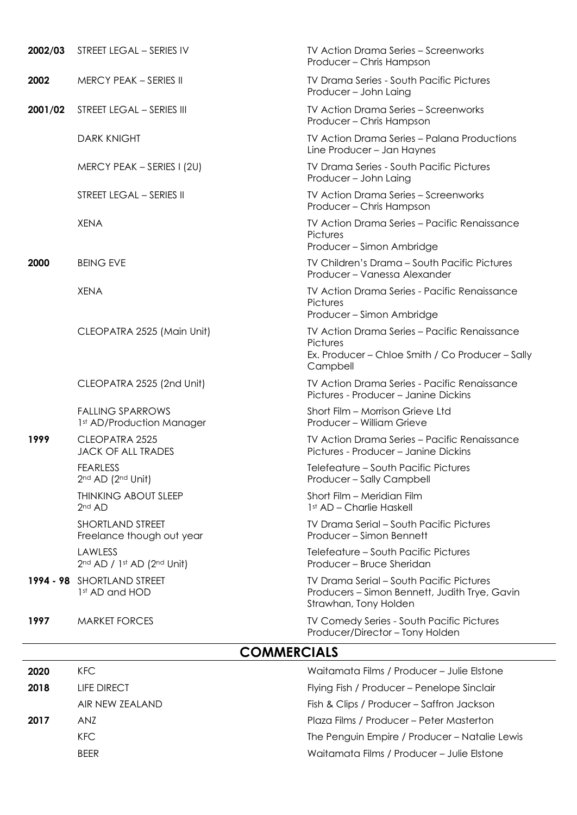| 2002/03 | STREET LEGAL - SERIES IV                             | <b>TV Action Drama Series - Screenworks</b><br>Producer - Chris Hampson                                                   |
|---------|------------------------------------------------------|---------------------------------------------------------------------------------------------------------------------------|
| 2002    | <b>MERCY PEAK - SERIES II</b>                        | <b>TV Drama Series - South Pacific Pictures</b><br>Producer - John Laing                                                  |
| 2001/02 | STREET LEGAL - SERIES III                            | <b>TV Action Drama Series - Screenworks</b><br>Producer - Chris Hampson                                                   |
|         | <b>DARK KNIGHT</b>                                   | <b>TV Action Drama Series - Palana Productions</b><br>Line Producer - Jan Haynes                                          |
|         | MERCY PEAK - SERIES I (2U)                           | <b>TV Drama Series - South Pacific Pictures</b><br>Producer - John Laing                                                  |
|         | STREET LEGAL - SERIES II                             | <b>TV Action Drama Series - Screenworks</b><br>Producer - Chris Hampson                                                   |
|         | <b>XENA</b>                                          | TV Action Drama Series - Pacific Renaissance<br>Pictures<br>Producer - Simon Ambridge                                     |
| 2000    | <b>BEING EVE</b>                                     | TV Children's Drama - South Pacific Pictures<br>Producer - Vanessa Alexander                                              |
|         | <b>XENA</b>                                          | TV Action Drama Series - Pacific Renaissance<br>Pictures<br>Producer - Simon Ambridge                                     |
|         | CLEOPATRA 2525 (Main Unit)                           | TV Action Drama Series - Pacific Renaissance<br>Pictures<br>Ex. Producer - Chloe Smith / Co Producer - Sally<br>Campbell  |
|         | CLEOPATRA 2525 (2nd Unit)                            | TV Action Drama Series - Pacific Renaissance<br>Pictures - Producer - Janine Dickins                                      |
|         | <b>FALLING SPARROWS</b><br>1st AD/Production Manager | Short Film - Morrison Grieve Ltd<br>Producer - William Grieve                                                             |
| 1999    | CLEOPATRA 2525<br><b>JACK OF ALL TRADES</b>          | TV Action Drama Series - Pacific Renaissance<br>Pictures - Producer - Janine Dickins                                      |
|         | <b>FEARLESS</b><br>2nd AD (2nd Unit)                 | Telefeature - South Pacific Pictures<br>Producer – Sally Campbell                                                         |
|         | <b>THINKING ABOUT SLEEP</b><br>2 <sup>nd</sup> AD    | Short Film – Meridian Film<br>1st AD - Charlie Haskell                                                                    |
|         | <b>SHORTLAND STREET</b><br>Freelance though out year | <b>TV Drama Serial - South Pacific Pictures</b><br>Producer – Simon Bennett                                               |
|         | LAWLESS<br>2nd AD / 1st AD (2nd Unit)                | Telefeature - South Pacific Pictures<br>Producer – Bruce Sheridan                                                         |
|         | 1994 - 98 SHORTLAND STREET<br>1st AD and HOD         | <b>TV Drama Serial - South Pacific Pictures</b><br>Producers - Simon Bennett, Judith Trye, Gavin<br>Strawhan, Tony Holden |
| 1997    | <b>MARKET FORCES</b>                                 | <b>TV Comedy Series - South Pacific Pictures</b><br>Producer/Director - Tony Holden                                       |

## **COMMERCIALS**

| 2020 | KFC.            | Waitamata Films / Producer - Julie Elstone    |
|------|-----------------|-----------------------------------------------|
| 2018 | LIFE DIRECT     | Flying Fish / Producer - Penelope Sinclair    |
|      | AIR NEW ZEALAND | Fish & Clips / Producer – Saffron Jackson     |
| 2017 | AN7             | Plaza Films / Producer - Peter Masterton      |
|      | KFC.            | The Penguin Empire / Producer - Natalie Lewis |
|      | <b>BFFR</b>     | Waitamata Films / Producer - Julie Elstone    |
|      |                 |                                               |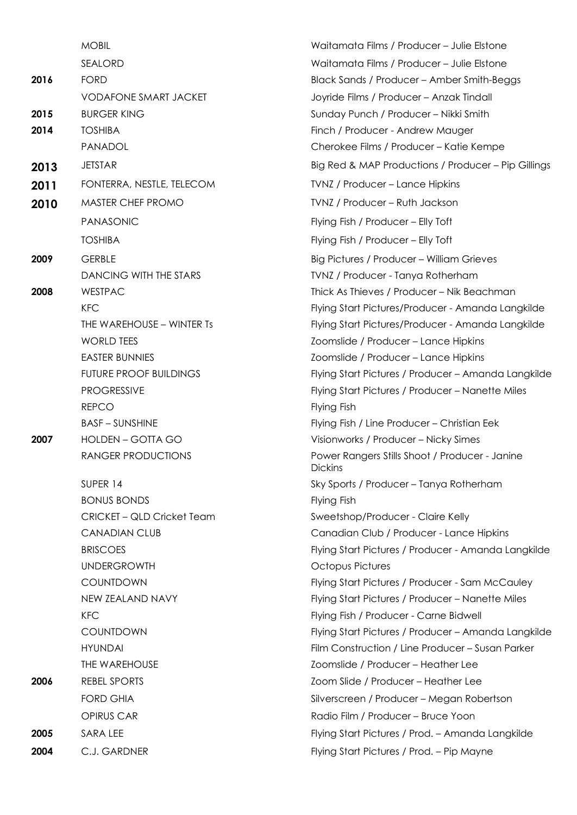|      | <b>MOBIL</b>                  |
|------|-------------------------------|
|      | <b>SEALORD</b>                |
| 2016 | <b>FORD</b>                   |
|      | <b>VODAFONE SMART JACKET</b>  |
| 2015 | <b>BURGER KING</b>            |
| 2014 | <b>TOSHIBA</b>                |
|      | PANADOL                       |
| 2013 | <b>JETSTAR</b>                |
| 2011 | FONTERRA, NESTLE, TELECOM     |
| 2010 | <b>MASTER CHEF PROMO</b>      |
|      | <b>PANASONIC</b>              |
|      | <b>TOSHIBA</b>                |
| 2009 | <b>GERBLE</b>                 |
|      | DANCING WITH THE STARS        |
| 2008 | <b>WESTPAC</b>                |
|      | <b>KFC</b>                    |
|      | THE WAREHOUSE - WINTER Ts     |
|      | <b>WORLD TEES</b>             |
|      | <b>EASTER BUNNIES</b>         |
|      | <b>FUTURE PROOF BUILDINGS</b> |
|      | <b>PROGRESSIVE</b>            |
|      | <b>REPCO</b>                  |
|      | <b>BASE - SUNSHINE</b>        |
| 2007 | <b>HOLDEN - GOTTA GO</b>      |
|      | <b>RANGER PRODUCTIONS</b>     |
|      | SUPER 14                      |
|      | <b>BONUS BONDS</b>            |
|      | CRICKET - QLD Cricket Team    |
|      | <b>CANADIAN CLUB</b>          |
|      | <b>BRISCOES</b>               |
|      | <b>UNDERGROWTH</b>            |
|      | COUNTDOWN                     |
|      | NEW ZEALAND NAVY              |
|      | <b>KFC</b>                    |
|      | <b>COUNTDOWN</b>              |
|      | <b>HYUNDAI</b>                |
|      | <b>THE WAREHOUSE</b>          |
| 2006 | <b>REBEL SPORTS</b>           |
|      | <b>FORD GHIA</b>              |
|      | <b>OPIRUS CAR</b>             |
| 2005 | SARA LEE                      |
| 2004 | C.J. GARDNER                  |

Waitamata Films / Producer – Julie Elstone Waitamata Films / Producer – Julie Elstone Black Sands / Producer – Amber Smith-Beggs Joyride Films / Producer – Anzak Tindall **2015** BURGER KING Sunday Punch / Producer – Nikki Smith Finch / Producer - Andrew Mauger Cherokee Films / Producer – Katie Kempe **Big Red & MAP Productions / Producer – Pip Gillings** *2011* Fonducer – Lance Hipkins **2010** MASTER CHEF PROMO TVNZ / Producer – Ruth Jackson Flying Fish / Producer – Elly Toft Flying Fish / Producer – Elly Toft Big Pictures / Producer – William Grieves TVNZ / Producer - Tanya Rotherham **7hick As Thieves / Producer – Nik Beachman** Flying Start Pictures/Producer - Amanda Langkilde Flying Start Pictures/Producer - Amanda Langkilde Zoomslide / Producer – Lance Hipkins Zoomslide / Producer – Lance Hipkins Flying Start Pictures / Producer – Amanda Langkilde Flying Start Pictures / Producer – Nanette Miles **Flying Fish** Flying Fish / Line Producer – Christian Eek **2007** Visionworks / Producer – Nicky Simes Power Rangers Stills Shoot / Producer - Janine Dickins Sky Sports / Producer – Tanya Rotherham Flying Fish Sweetshop/Producer - Claire Kelly Canadian Club / Producer - Lance Hipkins Flying Start Pictures / Producer - Amanda Langkilde Octopus Pictures Flying Start Pictures / Producer - Sam McCauley Flying Start Pictures / Producer – Nanette Miles Flying Fish / Producer - Carne Bidwell Flying Start Pictures / Producer – Amanda Langkilde Film Construction / Line Producer – Susan Parker Zoomslide / Producer – Heather Lee Zoom Slide / Producer – Heather Lee Silverscreen / Producer – Megan Robertson Radio Film / Producer – Bruce Yoon Flying Start Pictures / Prod. – Amanda Langkilde Flying Start Pictures / Prod. – Pip Mayne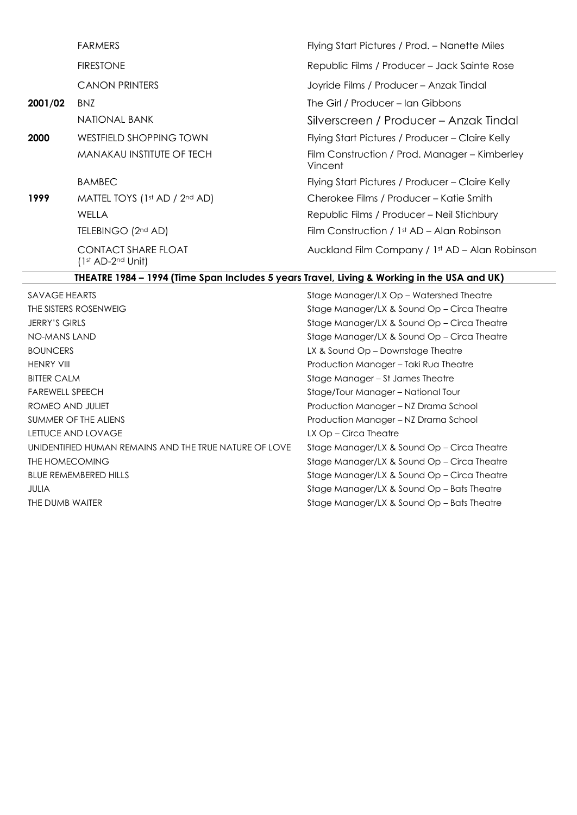|         | <b>FARMERS</b>                                    | Flying Start Pictures / Prod. - Nanette Miles            |
|---------|---------------------------------------------------|----------------------------------------------------------|
|         | <b>FIRESTONE</b>                                  | Republic Films / Producer – Jack Sainte Rose             |
|         | <b>CANON PRINTERS</b>                             | Joyride Films / Producer - Anzak Tindal                  |
| 2001/02 | BNZ                                               | The Girl / Producer – Ian Gibbons                        |
|         | NATIONAL BANK                                     | Silverscreen / Producer – Anzak Tindal                   |
| 2000    | WESTFIELD SHOPPING TOWN                           | Flying Start Pictures / Producer – Claire Kelly          |
|         | <b>MANAKAU INSTITUTE OF TECH</b>                  | Film Construction / Prod. Manager – Kimberley<br>Vincent |
|         | <b>BAMBEC</b>                                     | Flying Start Pictures / Producer – Claire Kelly          |
| 1999    | MATTEL TOYS (1st AD / 2nd AD)                     | Cherokee Films / Producer – Katie Smith                  |
|         | WELLA                                             | Republic Films / Producer - Neil Stichbury               |
|         | TELEBINGO (2nd AD)                                | Film Construction / $1st$ AD – Alan Robinson             |
|         | <b>CONTACT SHARE FLOAT</b><br>$(1st AD-2nd Unit)$ | Auckland Film Company / 1st AD - Alan Robinson           |
|         |                                                   |                                                          |

## **THEATRE 1984 – 1994 (Time Span Includes 5 years Travel, Living & Working in the USA and UK)**

| SAVAGE HEARTS                                          | Stage Manager/LX Op – Watershed Theatre     |
|--------------------------------------------------------|---------------------------------------------|
| THE SISTERS ROSENWEIG                                  | Stage Manager/LX & Sound Op – Circa Theatre |
| <b>JERRY'S GIRLS</b>                                   | Stage Manager/LX & Sound Op – Circa Theatre |
| <b>NO-MANS LAND</b>                                    | Stage Manager/LX & Sound Op – Circa Theatre |
| <b>BOUNCERS</b>                                        | LX & Sound Op – Downstage Theatre           |
| <b>HENRY VIII</b>                                      | Production Manager - Taki Rua Theatre       |
| <b>BITTER CALM</b>                                     | Stage Manager – St James Theatre            |
| <b>FAREWELL SPEECH</b>                                 | Stage/Tour Manager – National Tour          |
| ROMEO AND JULIET                                       | Production Manager – NZ Drama School        |
| SUMMER OF THE ALIENS                                   | Production Manager - NZ Drama School        |
| LETTUCE AND LOVAGE                                     | LX Op – Circa Theatre                       |
| UNIDENTIFIED HUMAN REMAINS AND THE TRUE NATURE OF LOVE | Stage Manager/LX & Sound Op – Circa Theatre |
| THE HOMECOMING                                         | Stage Manager/LX & Sound Op – Circa Theatre |
| <b>BLUE REMEMBERED HILLS</b>                           | Stage Manager/LX & Sound Op – Circa Theatre |
| <b>JULIA</b>                                           | Stage Manager/LX & Sound Op – Bats Theatre  |
| THE DUMB WAITER                                        | Stage Manager/LX & Sound Op – Bats Theatre  |
|                                                        |                                             |